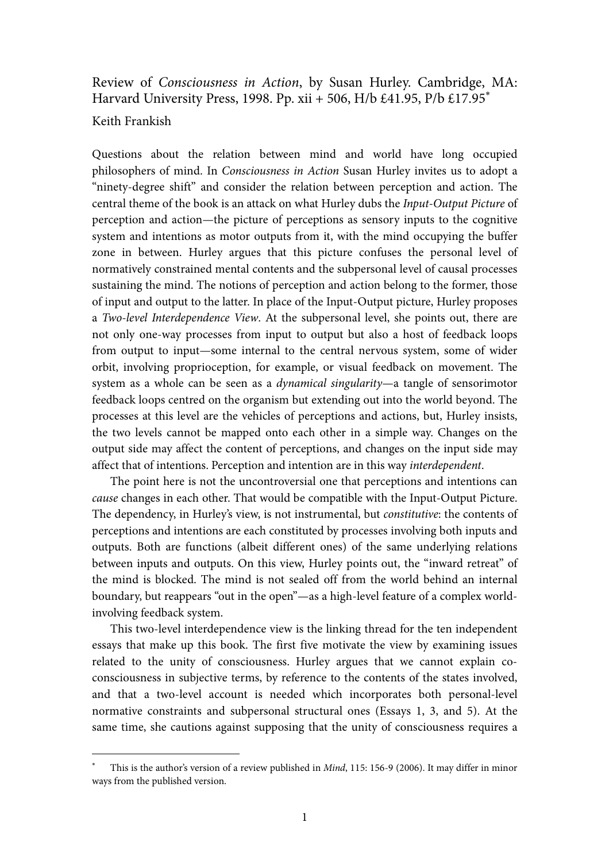## Review of Consciousness in Action, by Susan Hurley. Cambridge, MA: Harvard University Press, 1998. Pp. xii + 506, H/b £41.95, P/b £17.95<sup>∗</sup>

## Keith Frankish

-

Questions about the relation between mind and world have long occupied philosophers of mind. In Consciousness in Action Susan Hurley invites us to adopt a "ninety-degree shift" and consider the relation between perception and action. The central theme of the book is an attack on what Hurley dubs the Input-Output Picture of perception and action—the picture of perceptions as sensory inputs to the cognitive system and intentions as motor outputs from it, with the mind occupying the buffer zone in between. Hurley argues that this picture confuses the personal level of normatively constrained mental contents and the subpersonal level of causal processes sustaining the mind. The notions of perception and action belong to the former, those of input and output to the latter. In place of the Input-Output picture, Hurley proposes a Two-level Interdependence View. At the subpersonal level, she points out, there are not only one-way processes from input to output but also a host of feedback loops from output to input—some internal to the central nervous system, some of wider orbit, involving proprioception, for example, or visual feedback on movement. The system as a whole can be seen as a dynamical singularity—a tangle of sensorimotor feedback loops centred on the organism but extending out into the world beyond. The processes at this level are the vehicles of perceptions and actions, but, Hurley insists, the two levels cannot be mapped onto each other in a simple way. Changes on the output side may affect the content of perceptions, and changes on the input side may affect that of intentions. Perception and intention are in this way interdependent.

 The point here is not the uncontroversial one that perceptions and intentions can cause changes in each other. That would be compatible with the Input-Output Picture. The dependency, in Hurley's view, is not instrumental, but constitutive: the contents of perceptions and intentions are each constituted by processes involving both inputs and outputs. Both are functions (albeit different ones) of the same underlying relations between inputs and outputs. On this view, Hurley points out, the "inward retreat" of the mind is blocked. The mind is not sealed off from the world behind an internal boundary, but reappears "out in the open"—as a high-level feature of a complex worldinvolving feedback system.

 This two-level interdependence view is the linking thread for the ten independent essays that make up this book. The first five motivate the view by examining issues related to the unity of consciousness. Hurley argues that we cannot explain coconsciousness in subjective terms, by reference to the contents of the states involved, and that a two-level account is needed which incorporates both personal-level normative constraints and subpersonal structural ones (Essays 1, 3, and 5). At the same time, she cautions against supposing that the unity of consciousness requires a

<sup>∗</sup> This is the author's version of a review published in Mind, 115: 156-9 (2006). It may differ in minor ways from the published version.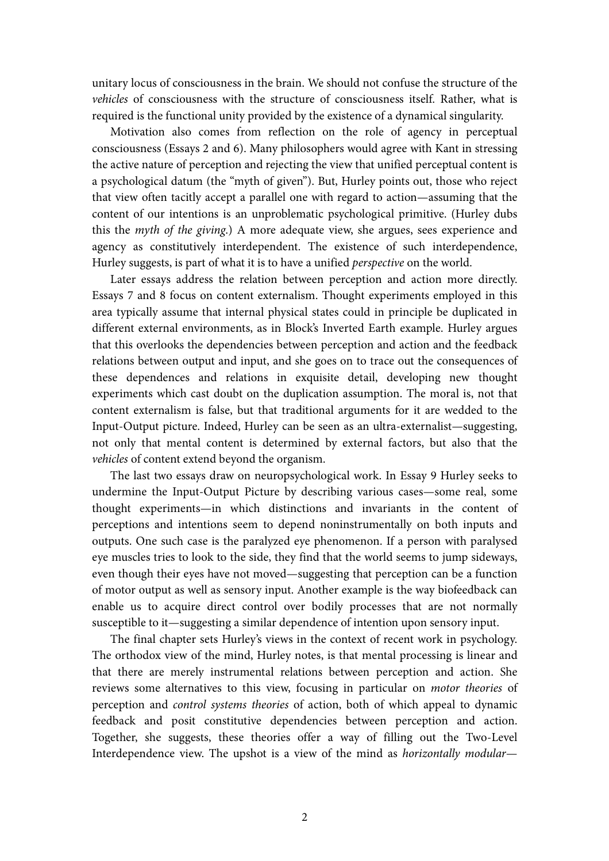unitary locus of consciousness in the brain. We should not confuse the structure of the vehicles of consciousness with the structure of consciousness itself. Rather, what is required is the functional unity provided by the existence of a dynamical singularity.

 Motivation also comes from reflection on the role of agency in perceptual consciousness (Essays 2 and 6). Many philosophers would agree with Kant in stressing the active nature of perception and rejecting the view that unified perceptual content is a psychological datum (the "myth of given"). But, Hurley points out, those who reject that view often tacitly accept a parallel one with regard to action—assuming that the content of our intentions is an unproblematic psychological primitive. (Hurley dubs this the myth of the giving.) A more adequate view, she argues, sees experience and agency as constitutively interdependent. The existence of such interdependence, Hurley suggests, is part of what it is to have a unified perspective on the world.

 Later essays address the relation between perception and action more directly. Essays 7 and 8 focus on content externalism. Thought experiments employed in this area typically assume that internal physical states could in principle be duplicated in different external environments, as in Block's Inverted Earth example. Hurley argues that this overlooks the dependencies between perception and action and the feedback relations between output and input, and she goes on to trace out the consequences of these dependences and relations in exquisite detail, developing new thought experiments which cast doubt on the duplication assumption. The moral is, not that content externalism is false, but that traditional arguments for it are wedded to the Input-Output picture. Indeed, Hurley can be seen as an ultra-externalist—suggesting, not only that mental content is determined by external factors, but also that the vehicles of content extend beyond the organism.

 The last two essays draw on neuropsychological work. In Essay 9 Hurley seeks to undermine the Input-Output Picture by describing various cases—some real, some thought experiments—in which distinctions and invariants in the content of perceptions and intentions seem to depend noninstrumentally on both inputs and outputs. One such case is the paralyzed eye phenomenon. If a person with paralysed eye muscles tries to look to the side, they find that the world seems to jump sideways, even though their eyes have not moved—suggesting that perception can be a function of motor output as well as sensory input. Another example is the way biofeedback can enable us to acquire direct control over bodily processes that are not normally susceptible to it—suggesting a similar dependence of intention upon sensory input.

 The final chapter sets Hurley's views in the context of recent work in psychology. The orthodox view of the mind, Hurley notes, is that mental processing is linear and that there are merely instrumental relations between perception and action. She reviews some alternatives to this view, focusing in particular on motor theories of perception and control systems theories of action, both of which appeal to dynamic feedback and posit constitutive dependencies between perception and action. Together, she suggests, these theories offer a way of filling out the Two-Level Interdependence view. The upshot is a view of the mind as horizontally modular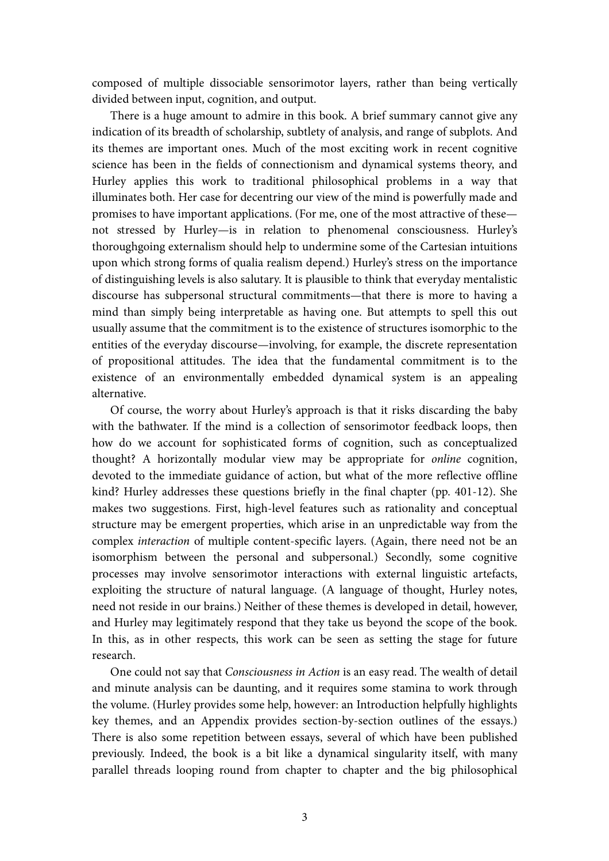composed of multiple dissociable sensorimotor layers, rather than being vertically divided between input, cognition, and output.

 There is a huge amount to admire in this book. A brief summary cannot give any indication of its breadth of scholarship, subtlety of analysis, and range of subplots. And its themes are important ones. Much of the most exciting work in recent cognitive science has been in the fields of connectionism and dynamical systems theory, and Hurley applies this work to traditional philosophical problems in a way that illuminates both. Her case for decentring our view of the mind is powerfully made and promises to have important applications. (For me, one of the most attractive of these not stressed by Hurley—is in relation to phenomenal consciousness. Hurley's thoroughgoing externalism should help to undermine some of the Cartesian intuitions upon which strong forms of qualia realism depend.) Hurley's stress on the importance of distinguishing levels is also salutary. It is plausible to think that everyday mentalistic discourse has subpersonal structural commitments—that there is more to having a mind than simply being interpretable as having one. But attempts to spell this out usually assume that the commitment is to the existence of structures isomorphic to the entities of the everyday discourse—involving, for example, the discrete representation of propositional attitudes. The idea that the fundamental commitment is to the existence of an environmentally embedded dynamical system is an appealing alternative.

 Of course, the worry about Hurley's approach is that it risks discarding the baby with the bathwater. If the mind is a collection of sensorimotor feedback loops, then how do we account for sophisticated forms of cognition, such as conceptualized thought? A horizontally modular view may be appropriate for online cognition, devoted to the immediate guidance of action, but what of the more reflective offline kind? Hurley addresses these questions briefly in the final chapter (pp. 401-12). She makes two suggestions. First, high-level features such as rationality and conceptual structure may be emergent properties, which arise in an unpredictable way from the complex interaction of multiple content-specific layers. (Again, there need not be an isomorphism between the personal and subpersonal.) Secondly, some cognitive processes may involve sensorimotor interactions with external linguistic artefacts, exploiting the structure of natural language. (A language of thought, Hurley notes, need not reside in our brains.) Neither of these themes is developed in detail, however, and Hurley may legitimately respond that they take us beyond the scope of the book. In this, as in other respects, this work can be seen as setting the stage for future research.

 One could not say that Consciousness in Action is an easy read. The wealth of detail and minute analysis can be daunting, and it requires some stamina to work through the volume. (Hurley provides some help, however: an Introduction helpfully highlights key themes, and an Appendix provides section-by-section outlines of the essays.) There is also some repetition between essays, several of which have been published previously. Indeed, the book is a bit like a dynamical singularity itself, with many parallel threads looping round from chapter to chapter and the big philosophical